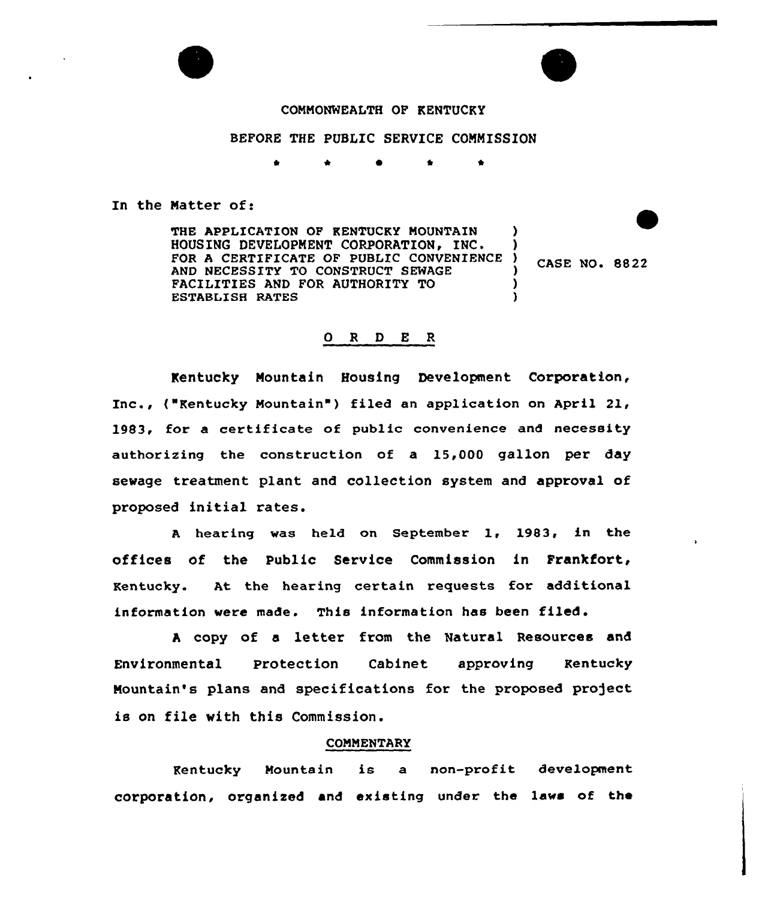

## COMMONWEALTH OF KENTUCKY

BEFORE THE PUBLIC SERVICE COMMISSION

\* \*

### In the Matter of:

THE APPLICATION OF KENTUCKY MOUNTAIN HOUSING DEVELOPMENT CORPORATION, INC. FOR A CERTIFICATE OF PUBLIC CONVENIENC AND NECESSITY TO CONSTRUCT SENAQE FACILITIES AND FOR AUTHORITY TO ESTABLISH RATES ) ) ) )

) CASE NO. 8822

## 0 R <sup>D</sup> E R

Kentucky Mountain Bousinq Development Corporation, Inc., ("Kentucky Mountain" ) filed an application on April 21, 1983, for a certificate of poblic convenience and necessity authorizing the construction of a 15,000 gallon per day sewage treatment plant and collection system and approval of proposed initial rates.

<sup>A</sup> hearing was held on September 1, 1983, in the offices of the Public Service Commission in Frankfort, Kentucky. At the hearing certain requests for additional information were made. This information has been filed.

<sup>A</sup> copy of a letter from the Natural Resources and Environmental Protection Cabinet approving Kentucky Mountain's plans and specifications for the proposed project is on file with this Commission.

#### COMMENTARY

Kentucky Mountain is a non-profit development corporation, organized and existing under the laws of the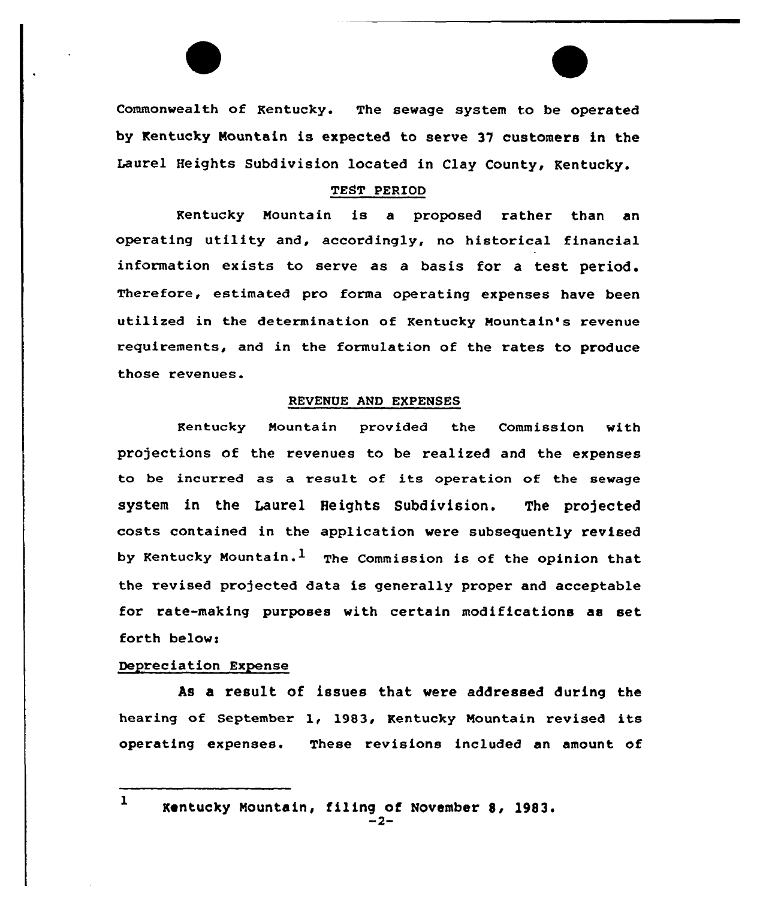Commonwealth of Kentucky. The sewage system to be operated by Kentucky Mountain is expected to serve 37 customers in the Laurel Heights Subdivision located in Clay County< Kentucky.

### TEST PERIOD

Kentucky Mountain is a proposed rather than an operating utility and, accordingly, no historical financial information exists to serve as a basis for a test period. Therefore, estimated pro forma operating expenses have been utilized in the determination of Kentucky Mountain's revenue requirements, and in the formulation of the rates to produce those revenues.

### REVENUE AND EXPENSES

Kentucky Mountain provided the Commission with projections of the revenues to be realized and the expenses to be incurred as a result of its operation of the sewage system in the Laurel Heights Subdivision. The projected costs contained in the application vere subsequently revised by Kentucky Mountain.<sup>1</sup> The Commission is of the opinion that the revised projected data is generally proper and acceptable for rate-making purposes with certain modifications as set forth below:

#### Depreciation Expense

As a result of issues that vere addressed during the hearing of September 1, 1983, Kentucky Mountain revised its operating expenses. These revisions included an amount of

<sup>1</sup> Kentucky Mountain, filing of November 8, 1983.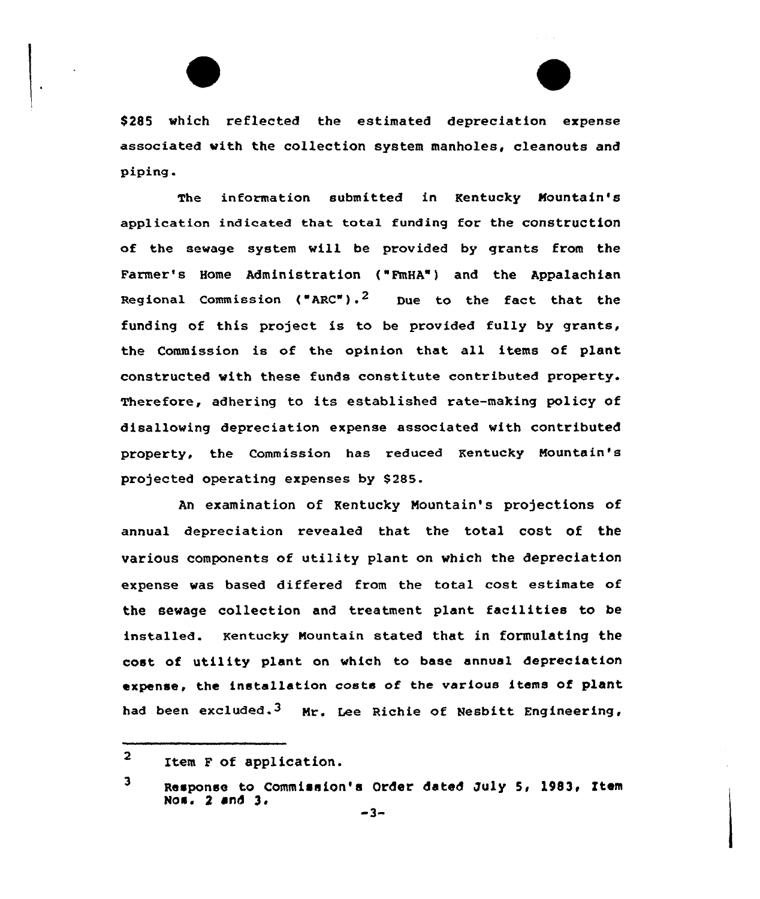\$ 285 which reflected the estimated depreciation expense associated with the collection system manholes, cleanouts and piping.

The information submitted in Kentucky Nountain's application indicated that total funding for the construction of the sewage system vill be provided by grants from the Farmer's Home Administration ("FmHA") and the Appalachian Regional Commission ("ARC"). $^{\text{2}}$  Due to the fact that the funding of this project is to be provided fully by grants, the Commission is of the opinion that all items of plant constructed with these funds constitute contributed property. Therefore, adhering to its established rate-making policy of disallowing depreciation expense associated with contributed property, the Commission has reduced Kentucky Nountain's projected operating expenses by \$285.

An examination of Kentucky Nountain's projections of annual depreciation revealed that the total cost of the various components of utility plant on which the depreciation expense was based differed from the total cost estimate of the sewage collection and treatment plant facilities to be installed. Kentucky Nountain stated that in formulating the cost of utility plant on vhich to base annual depreciation expense, the installation costs of the various items of plant had been excluded.<sup>3</sup> Mr. Lee Richie of Nesbitt Engineering,

 $\overline{2}$ Item F of application.

 $\mathbf{3}$ Response to Commission's Order dated July 5, 1983, Item Nos. <sup>2</sup> end 3,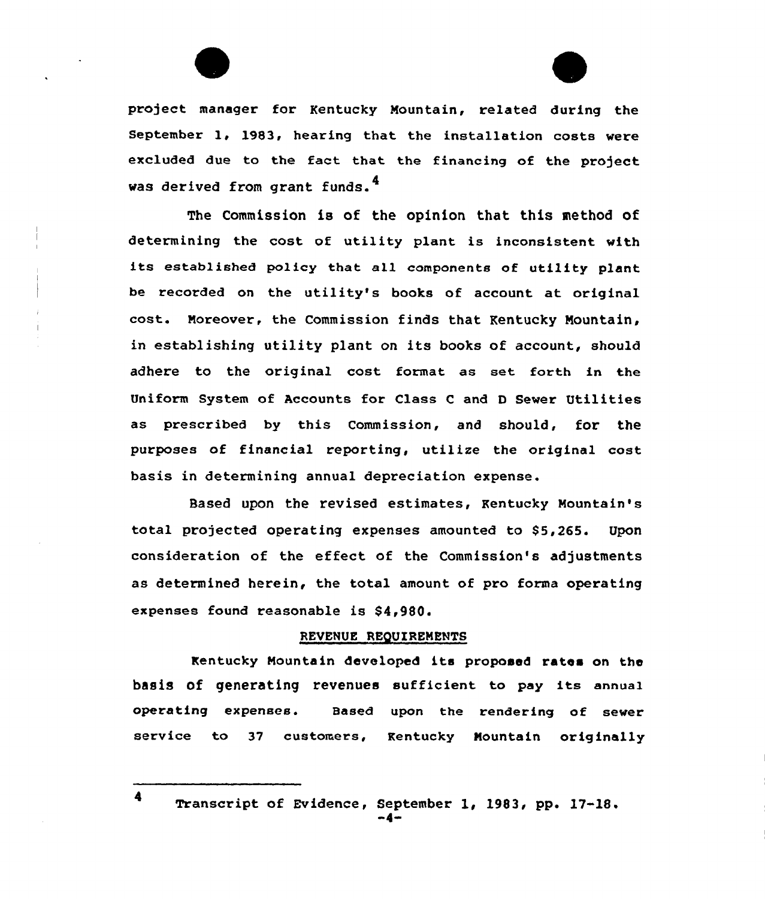



project manager for Kentucky Mountain, related during the September 1, 1983, hearing that the installation costs were excluded due to the fact that the financing of the project was derived from grant funds.<sup>4</sup>

The Commission is of the opinion that this method of determining the cost of utility plant is inconsistent with its established policy that all components of utility plant be recorded on the utility's books of account at original cost. Moreover, the Commission finds that Kentucky Mountain, in establishing utility p1ant on its books of account, should adhere to the original cost format as set forth in the Uniform System of Accounts for Class <sup>C</sup> and <sup>D</sup> Sewer Utilities as prescribed by this Commission, and should, for the purposes of financial reporting, utilize the original cost basis in determining annual depreciation expense.

Based upon the revised estimates, Kentucky Mountain's total projected operating expenses amounted to \$5,265. Upon consideration of the effect of the Commission's adjustments as determined herein, the total amount of pro forma operating expenses found reasonable is \$4,980.

#### REVENUE REQUIREMENTS

Kentucky Mountain developed its proposed ratos on the basis of generating revenues sufficient to pay its annual operating expenses. Based upon the rendering of sewer service to <sup>37</sup> customers, Kentucky Mountain originally

<sup>4</sup> Transcript of Evidence, September 1, 1983, pp. 17-18. »4»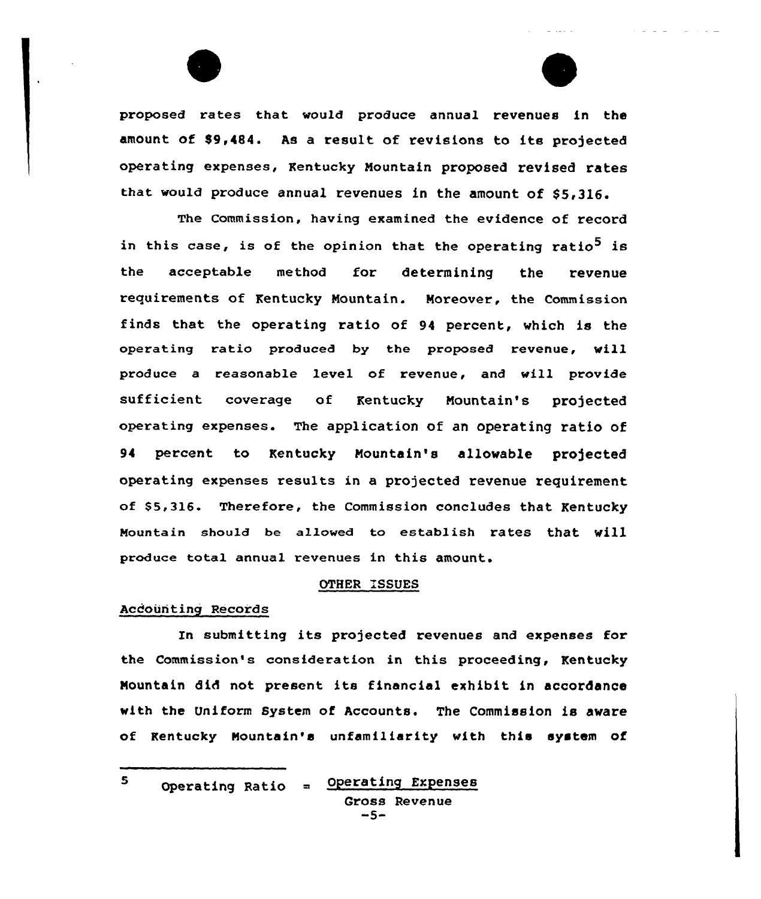proposed ra tes that would produce annual revenues in the amount of \$9,484. As a result of revisions to its projected operating expenses, Kentucky Nountain proposed revised rates that would produce annual revenues in the amount of \$5,316.

The Commission, having examined the evidence of record in this case, is of the opinion that the operating ratio<sup>5</sup> is the acceptable method for determining the revenue requirements of Kentucky Nountain. Moreover, the Commission finds that the operating ratio of 94 percent, which is the operating ratio produced by the proposed revenue, will produce a reasonable level of revenue, and will provide sufficient coverage of Kentucky Nountain's projected operating expenses. The application of an operating ratio of 94 percent to Kentucky Nountain's allowable projected operating expenses results in a projected revenue requirement of \$5,316. Therefore, the Commission concludes that Kentucky Mountain should be allowed to establish rates that will produce total annual revenues in this amount.

## OTHER ISSUES

### Acdounting Records

In submitting its projected revenues and expenses for the Commission's consideration in this proceeding, Kentucky Nountain 8id not present its financial exhibit in accordance with the Uniform System of Accounts. The Commission is aware of Kentucky Nountain's unfamiliarity with this system of

 $\mathbf{s}$ 

Operating Ratio  $=$  Operating Expenses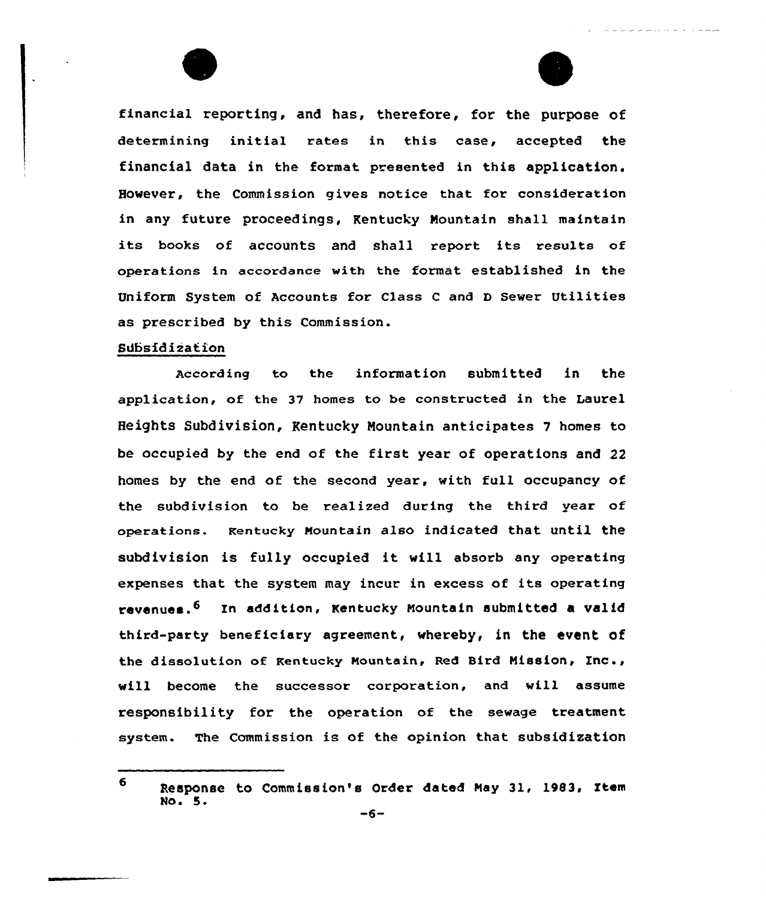financial reporting, and has, therefore, for the purpose of determining initial rates in this case, accepted the financial data in the format presented in this application. However, the Commission gives notice that for consideration in any future proceedings, Kentucky Mountain shall maintain its books of accounts and shall report its results of operations in accordance with the format established in the Uniform System of Accounts for Class <sup>C</sup> and <sup>D</sup> Sewer Utilities as prescribed by this Commission.

### Subsidization

According to the information submitted in the application, of the 37 homes to be constructed in the Laurel Heights Subdivision, Kentucky Mountain anticipates 7 homes to be occupied by the end of the first year of operations and <sup>22</sup> homes by the end of the second year, with full occupancy of the subdivision to be realized during the third year of operations. Kentucky Nountain also indicated that until the subdivision is fully occupied it will absorb any operating expenses that the system may incur in excess of its operating revenues.6 Zn addition, Kentucky Nountain submitted a valid third-party beneficiary agreement, whereby, in the event of the dissolution of Kentucky Mountain, Red Bird Mission, Inc., will become the successor corporation, and will assume responsibility for the operation of the sewage treatment system. The Commission is of the opinion that subsidisation

<sup>6</sup> Response to Commission's Order dated May 31, 1983, Item<br>No. 5. No. 5.<br>No. 5.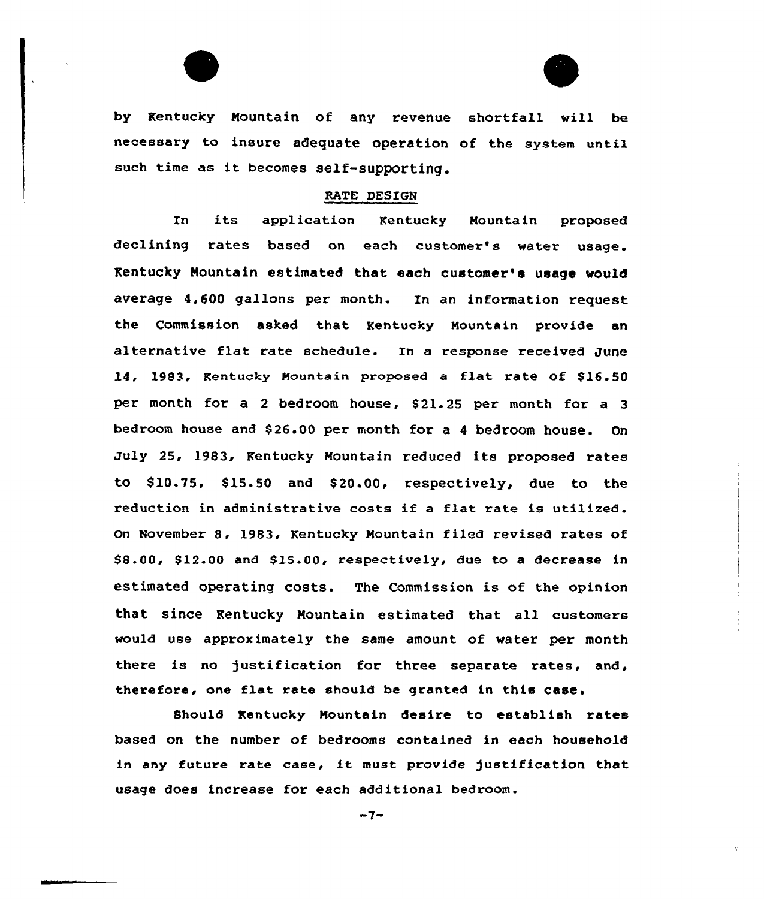by Kentucky Mountain of any revenue shortfall will be necessary to insure adequate operation of the system until such time as it becomes self-supporting.

#### RATE DESIGN

In its application Kentucky Nountain proposed declining rates based on each customer's water usage. Kentucky Mountain estimated that each customer's usage mould average 4,600 gallons per month. In an information request the Commission asked that Kentucky Nountain provide an alternative flat rate schedule. In a response received June 14, 1983, Kentucky Mountain proposed a flat rate of \$16.50 per month for a 2 bedroom house, \$21.25 per month for a 3 bedroom house and \$ 26.00 per month for a <sup>4</sup> bedroom house. On July 25, 1983, Kentucky Mountain reduced its proposed rates to \$ 10.75, \$ 15.50 and \$ 20.00, respectively, due to the reduction in administrative costs if <sup>a</sup> flat rate is utilized. On November 8, 1983, Kentucky Nountain filed revised rates of \$8.00, \$12.00 and \$15.00, respectively, due to a decrease in estimated operating costs. The Commission is of the opinion that since Kentucky Nountain estimated that all customers would use approximately the same amount of water per month there is no justification for three separate rates, and, therefore, one flat rate should be granted in this case.

8hould Kentucky Nountain desire to establish rates based on the number of bedrooms contained in each household in any future rate case, it must provide Justification that usage does increase for each additional bedroom.

 $-7-$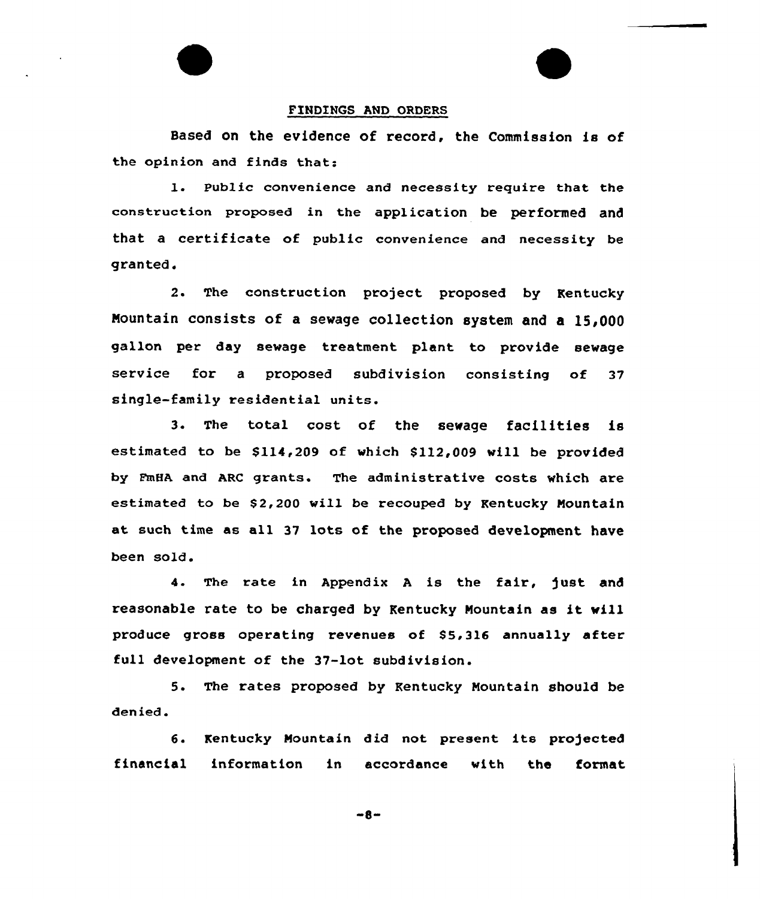### FINDINGS AND ORDERS

Based on the evidence of record, the Commission is of the opinion and finds that:

l. Public convenience and necessity require that the construction proposed in the application be performed and that a certificate of public convenience and necessity be granted.

2. The construction project proposed by Kentucky Nountain consists of a sewage collection system and a 15,000 gallon per day sewage treatment plant to provide sewage service for a proposed subdivision consisting of 37 single-family residential units.

3. The total cost of the sewage facilities is estimated to be  $$114,209$  of which  $$112,009$  will be provided by FmHA and ARC grants. The administrative costs which are estimated to be \$2,200 will be recouped by Kentucky Mountain at such time as all 37 lots of the proposed development have been sold.

4. The rate in Appendix <sup>A</sup> is the fair, just and reasonable rate to be charged by Kentucky Nountain as it will produce gross operating revenues of S5,316 annually after full development of the 37-lot subdivision.

5. The rates proposed by Kentucky Nountain should be denied.

6. Kentucky Nountain did not present its projected financial information in accordance with the format

 $-8-$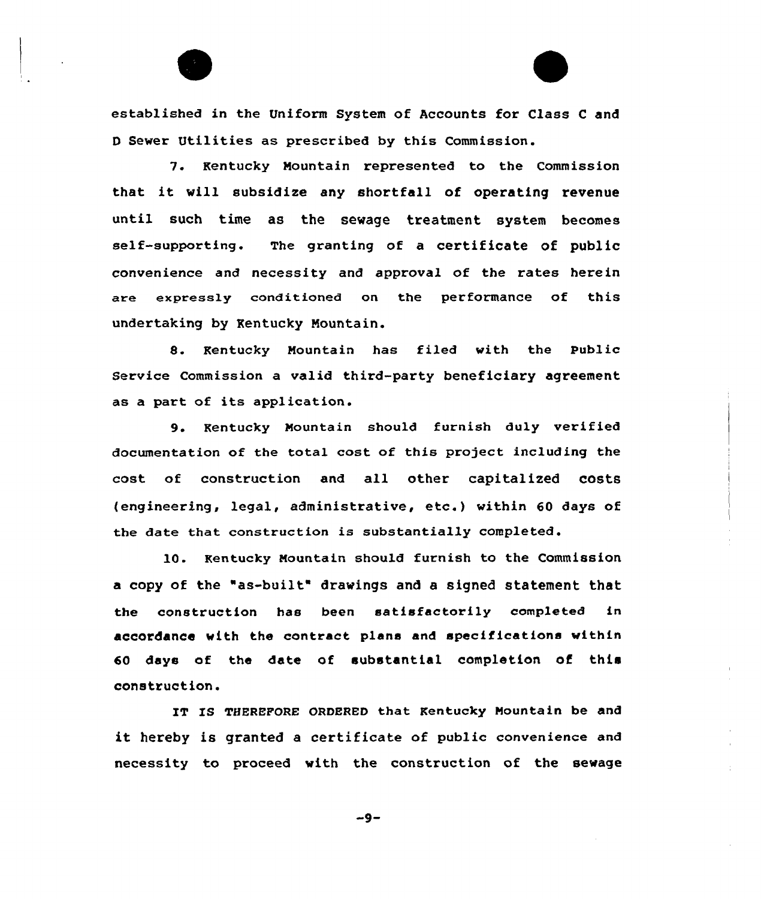

7. Kentucky Mountain represented to the Commission that it vill subsidize any shortfall of operating revenue until such time as the sewage treatment system becomes self-supporting. The granting of a certificate of public convenience and necessity and approval of the rates herein are expresaly conditioned on the performance of this undertaking by Kentucky Nountain.

8. Kentucky Mountain has filed with the public Service Commission a valid third-party beneficiary agreement as <sup>a</sup> part of its application.

9. Kentucky Mountain should furnish duly verified documentation of the total cost of this project including the cost of construction and all other capitalized costs (engineering, legal, administrative, etc.) within <sup>60</sup> days of the date that construction is substantially completed.

10. Kentucky Mountain should furnish to the Commission a copy of the "as-built" drawings and a signed statement that the construction has been satisfactorily completed in accordance with the contract plans and specifications within 60 days of the date of substantial completion of this construction.

IT IS THEREPORE ORDERED that Kentucky Mountain be and it hereby is granted <sup>a</sup> certificate of public convenience and necessity to proceed with the construction of the sewage

 $-9-$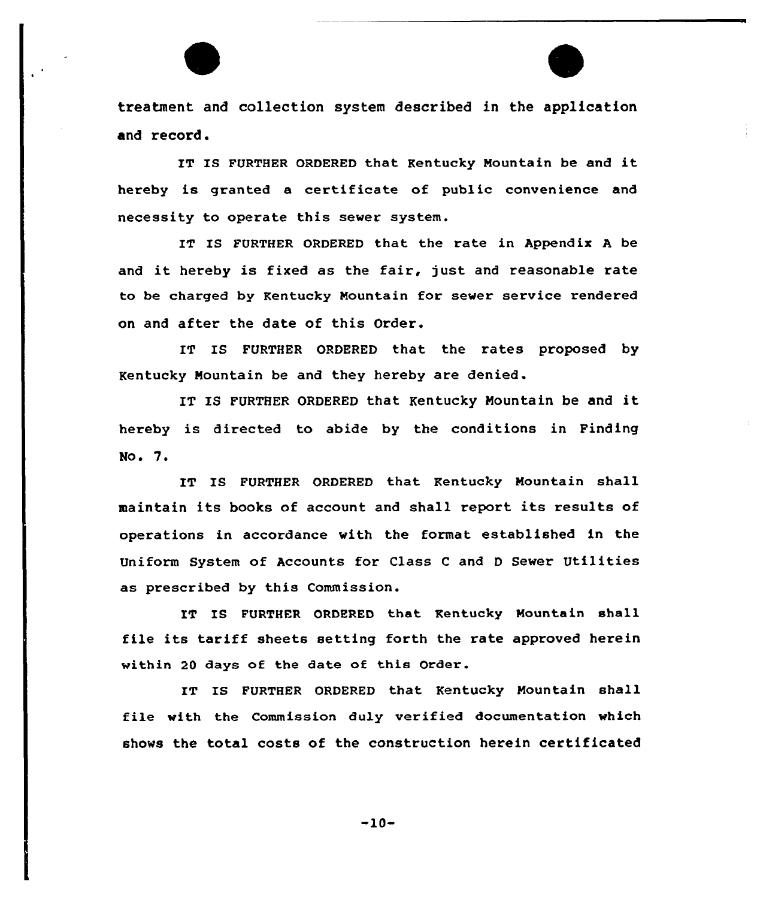treatment and collection system described in the application and record.

IT IS FURTHER ORDERED that Kentucky Mountain be and it hereby is granted a certificate of public convenience and necessity to operate this sever system.

IT IS FURTHER ORDERED that the rate in Appendix A be and it hereby is fixed as the fair, just and reasonable rate to be charged by Kentucky Mountain for sewer service rendered on and after the date of this Order.

IT IS FURTHER ORDERED that the rates proposed by Kentucky Nountain be and they hereby are denied.

IT IS FURTHER ORDERED that Kentucky Mountain be and it hereby is directed to abide by the conditions in Finding No. 7.

IT IS FURTHER ORDERED that Kentucky Mountain shall maintain its books of account and shall report its results of operations in accordance vith the format established in the Uniform System of Accounts for Class <sup>C</sup> and <sup>D</sup> Sewer Utilities as prescribed by this Commission.

IT IS FURTHER ORDERED that Kentucky Mountain shall file its tariff sheets setting forth the rate approved herein within 20 days of the date of this Order.

IT IS FURTHER ORDERED that Kentucky Mountain shall file with the Commission duly verified documentation which shows the total costs of the construction herein certificated

 $-10-$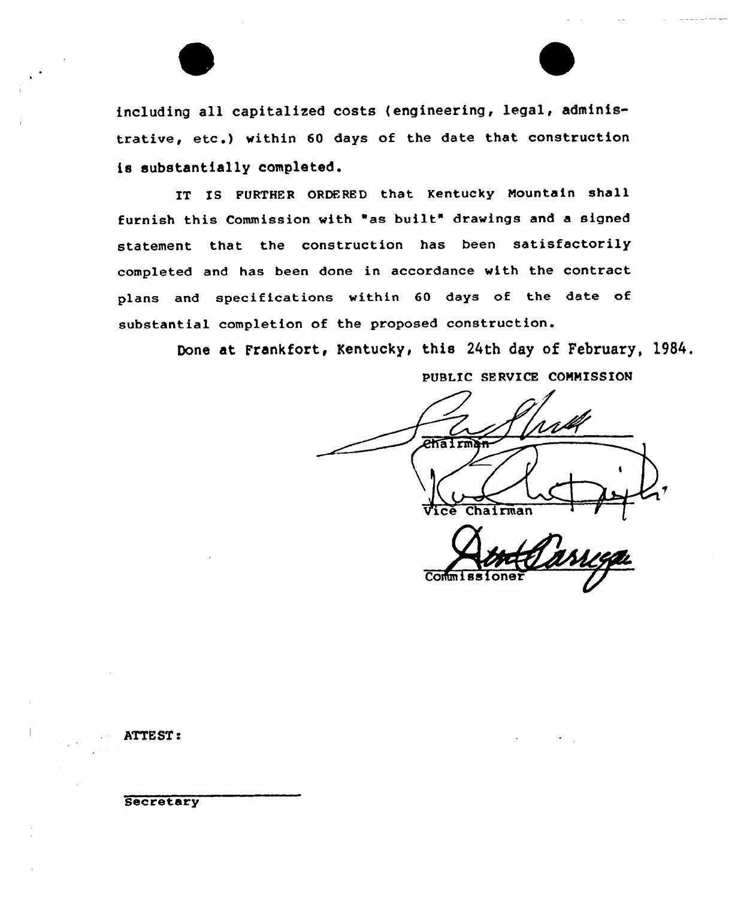including all capitalized costs (engineering, legal, administrative, etc.) within <sup>60</sup> days of the date that construction is substantially completed.

IT IS FURTHER ORDERED that Kentucky Mountain shall furnish this Commission with "as built" drawings and <sup>a</sup> signed statement that the construction has been satisfactorily completed and has been done in accordance with the contract plans and specifications within 60 days of the date of substantial completion of the proposed construction.

Done at Frankfort, Kentucky, this 24th day of February, 19S4.

PUBLIC SERVICE COMMISSION  $e$ hairm Chairman

Co

ATTEST <sup>s</sup>

**Secretary**